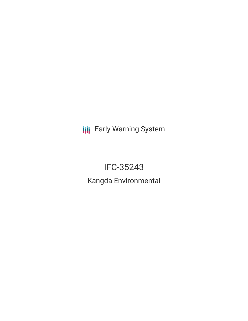**III** Early Warning System

# IFC-35243

Kangda Environmental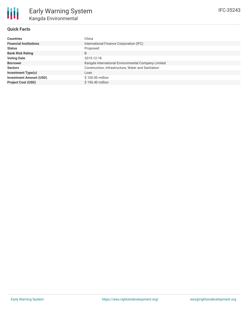

## **Quick Facts**

| <b>Countries</b>               | China                                              |
|--------------------------------|----------------------------------------------------|
| <b>Financial Institutions</b>  | International Finance Corporation (IFC)            |
| <b>Status</b>                  | Proposed                                           |
| <b>Bank Risk Rating</b>        | B                                                  |
| <b>Voting Date</b>             | 2015-12-18                                         |
| <b>Borrower</b>                | Kangda International Environmental Company Limited |
| <b>Sectors</b>                 | Construction, Infrastructure, Water and Sanitation |
| <b>Investment Type(s)</b>      | Loan                                               |
| <b>Investment Amount (USD)</b> | \$100.00 million                                   |
| <b>Project Cost (USD)</b>      | \$196.40 million                                   |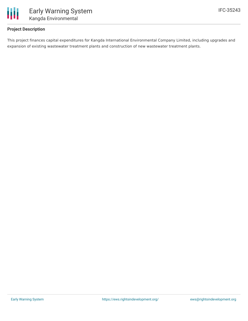

## **Project Description**

This project finances capital expenditures for Kangda International Environmental Company Limited, including upgrades and expansion of existing wastewater treatment plants and construction of new wastewater treatment plants.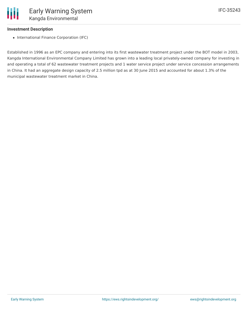## **Investment Description**

• International Finance Corporation (IFC)

Established in 1996 as an EPC company and entering into its first wastewater treatment project under the BOT model in 2003, Kangda International Environmental Company Limited has grown into a leading local privately-owned company for investing in and operating a total of 62 wastewater treatment projects and 1 water service project under service concession arrangements in China. It had an aggregate design capacity of 2.5 million tpd as at 30 June 2015 and accounted for about 1.3% of the municipal wastewater treatment market in China.